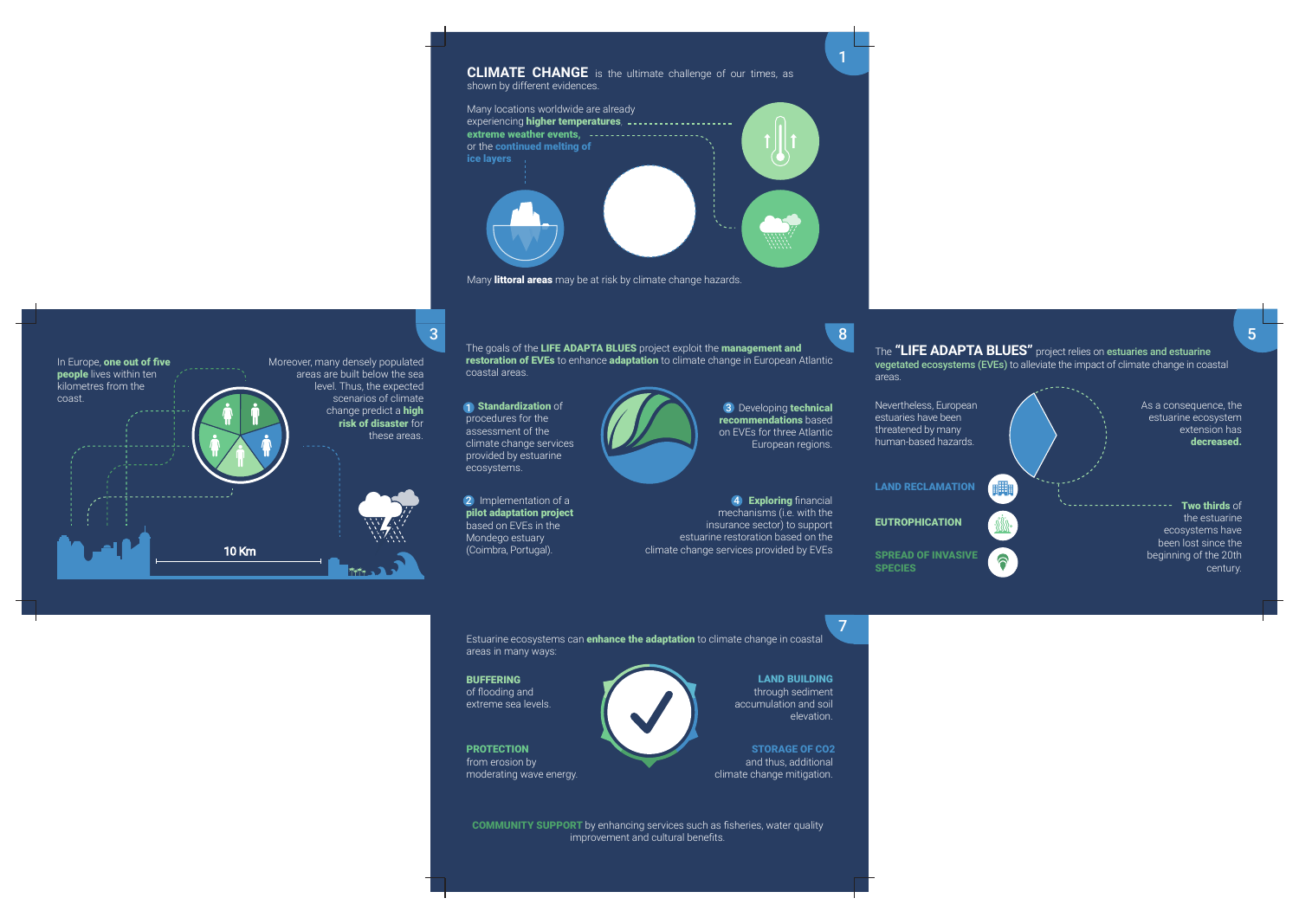Estuarine ecosystems can **enhance the adaptation** to climate change in coastal areas in many ways:

**BUFFERING** of flooding and extreme sea levels.

**PROTECTION** from erosion by moderating wave energy.

**LAND BUILDING** through sediment accumulation and soil elevation.

**STORAGE OF CO2** and thus, additional climate change mitigation.

**COMMUNITY SUPPORT** by enhancing services such as fisheries, water quality improvement and cultural benefits.

The **"LIFE ADAPTA BLUES"** project relies on estuaries and estuarine vegetated ecosystems (EVEs) to alleviate the impact of climate change in coastal

The goals of the **LIFE ADAPTA BLUES** project exploit the **management and restoration of EVEs** to enhance **adaptation** to climate change in European Atlantic coastal areas.  $3$  8  $\sim$  8  $\sim$  8  $\sim$  8  $\sim$  8  $\sim$  8  $\sim$  8  $\sim$  8  $\sim$ 

areas.



**1** Standardization of procedures for the assessment of the climate change services provided by estuarine ecosystems.



2 Implementation of a **pilot adaptation project** based on EVEs in the Mondego estuary (Coimbra, Portugal).





**4 Exploring** financial mechanisms (i.e. with the insurance sector) to support estuarine restoration based on the climate change services provided by EVEs

Many **littoral areas** may be at risk by climate change hazards.

**SPECIES**



1

7

5

3 Developing **technical recommendations** based on EVEs for three Atlantic European regions.